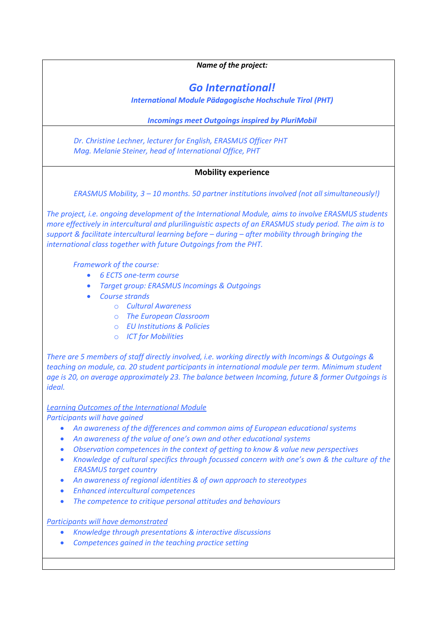| Name of the project:                                                                                                                                                                                                                                                                                                                                                                                                                                                                                                                                                                                                                                                               |
|------------------------------------------------------------------------------------------------------------------------------------------------------------------------------------------------------------------------------------------------------------------------------------------------------------------------------------------------------------------------------------------------------------------------------------------------------------------------------------------------------------------------------------------------------------------------------------------------------------------------------------------------------------------------------------|
|                                                                                                                                                                                                                                                                                                                                                                                                                                                                                                                                                                                                                                                                                    |
| <b>Go International!</b>                                                                                                                                                                                                                                                                                                                                                                                                                                                                                                                                                                                                                                                           |
| <b>International Module Pädagogische Hochschule Tirol (PHT)</b>                                                                                                                                                                                                                                                                                                                                                                                                                                                                                                                                                                                                                    |
| <b>Incomings meet Outgoings inspired by PluriMobil</b>                                                                                                                                                                                                                                                                                                                                                                                                                                                                                                                                                                                                                             |
| Dr. Christine Lechner, lecturer for English, ERASMUS Officer PHT<br>Mag. Melanie Steiner, head of International Office, PHT                                                                                                                                                                                                                                                                                                                                                                                                                                                                                                                                                        |
| <b>Mobility experience</b>                                                                                                                                                                                                                                                                                                                                                                                                                                                                                                                                                                                                                                                         |
| ERASMUS Mobility, 3 - 10 months. 50 partner institutions involved (not all simultaneously!)                                                                                                                                                                                                                                                                                                                                                                                                                                                                                                                                                                                        |
| The project, i.e. ongoing development of the International Module, aims to involve ERASMUS students<br>more effectively in intercultural and plurilinguistic aspects of an ERASMUS study period. The aim is to<br>support & facilitate intercultural learning before $-$ during $-$ after mobility through bringing the<br>international class together with future Outgoings from the PHT.                                                                                                                                                                                                                                                                                        |
| Framework of the course:<br><b>6 ECTS one-term course</b><br>$\bullet$<br><b>Target group: ERASMUS Incomings &amp; Outgoings</b><br>$\bullet$<br><b>Course strands</b><br><b>Cultural Awareness</b><br>$\Omega$<br>o The European Classroom<br><b>EU Institutions &amp; Policies</b><br>$\Omega$<br><b>ICT for Mobilities</b><br>$\circ$                                                                                                                                                                                                                                                                                                                                           |
| There are 5 members of staff directly involved, i.e. working directly with Incomings & Outgoings &<br>teaching on module, ca. 20 student participants in international module per term. Minimum student<br>age is 20, on average approximately 23. The balance between Incoming, future & former Outgoings is<br><i>ideal.</i>                                                                                                                                                                                                                                                                                                                                                     |
| <b>Learning Outcomes of the International Module</b>                                                                                                                                                                                                                                                                                                                                                                                                                                                                                                                                                                                                                               |
| Participants will have gained<br>An awareness of the differences and common aims of European educational systems<br>An awareness of the value of one's own and other educational systems<br>$\bullet$<br>Observation competences in the context of getting to know & value new perspectives<br>$\bullet$<br>Knowledge of cultural specifics through focussed concern with one's own & the culture of the<br>$\bullet$<br><b>ERASMUS target country</b><br>An awareness of regional identities & of own approach to stereotypes<br>$\bullet$<br><b>Enhanced intercultural competences</b><br>$\bullet$<br>The competence to critique personal attitudes and behaviours<br>$\bullet$ |
| <b>Participants will have demonstrated</b><br>Knowledge through presentations & interactive discussions<br>$\bullet$<br>Competences gained in the teaching practice setting<br>$\bullet$                                                                                                                                                                                                                                                                                                                                                                                                                                                                                           |